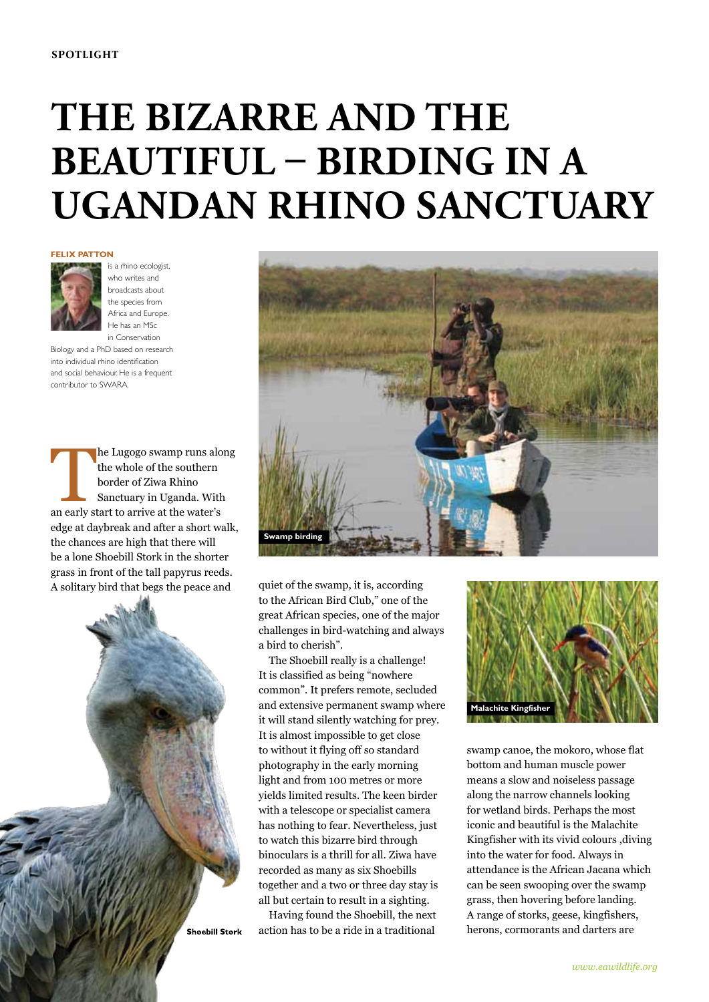# **The bizarre and the beautiful – birding in a Ugandan rhino sanctuary**

#### **FELIX PATTON**



is a rhino ecologist, who writes and broadcasts about the species from Africa and Europe. He has an MSc in Conservation

Biology and a PhD based on research into individual rhino identification and social behaviour. He is a frequent contributor to SWARA.

The Lugogo swamp runs along<br>
the whole of the southern<br>
border of Ziwa Rhino<br>
Sanctuary in Uganda. With<br>
an early start to arrive at the water's the whole of the southern border of Ziwa Rhino Sanctuary in Uganda. With edge at daybreak and after a short walk, the chances are high that there will be a lone Shoebill Stork in the shorter grass in front of the tall papyrus reeds. A solitary bird that begs the peace and





quiet of the swamp, it is, according to the African Bird Club," one of the great African species, one of the major challenges in bird-watching and always a bird to cherish".

The Shoebill really is a challenge! It is classified as being "nowhere common". It prefers remote, secluded and extensive permanent swamp where it will stand silently watching for prey. It is almost impossible to get close to without it flying off so standard photography in the early morning light and from 100 metres or more yields limited results. The keen birder with a telescope or specialist camera has nothing to fear. Nevertheless, just to watch this bizarre bird through binoculars is a thrill for all. Ziwa have recorded as many as six Shoebills together and a two or three day stay is all but certain to result in a sighting.

Having found the Shoebill, the next action has to be a ride in a traditional



swamp canoe, the mokoro, whose flat bottom and human muscle power means a slow and noiseless passage along the narrow channels looking for wetland birds. Perhaps the most iconic and beautiful is the Malachite Kingfisher with its vivid colours ,diving into the water for food. Always in attendance is the African Jacana which can be seen swooping over the swamp grass, then hovering before landing. A range of storks, geese, kingfishers, herons, cormorants and darters are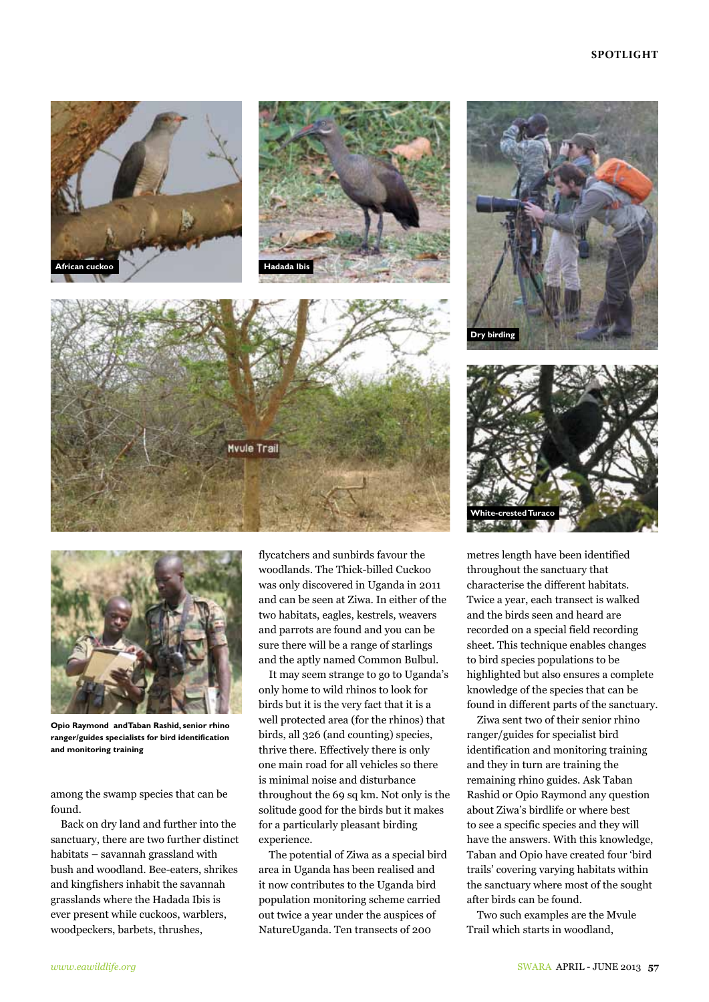### **SPOTLIGHT**













**Opio Raymond andTaban Rashid, senior rhino ranger/guides specialists for bird identification and monitoring training**

among the swamp species that can be found.

Back on dry land and further into the sanctuary, there are two further distinct habitats – savannah grassland with bush and woodland. Bee-eaters, shrikes and kingfishers inhabit the savannah grasslands where the Hadada Ibis is ever present while cuckoos, warblers, woodpeckers, barbets, thrushes,

flycatchers and sunbirds favour the woodlands. The Thick-billed Cuckoo was only discovered in Uganda in 2011 and can be seen at Ziwa. In either of the two habitats, eagles, kestrels, weavers and parrots are found and you can be sure there will be a range of starlings and the aptly named Common Bulbul.

It may seem strange to go to Uganda's only home to wild rhinos to look for birds but it is the very fact that it is a well protected area (for the rhinos) that birds, all 326 (and counting) species, thrive there. Effectively there is only one main road for all vehicles so there is minimal noise and disturbance throughout the 69 sq km. Not only is the solitude good for the birds but it makes for a particularly pleasant birding experience.

The potential of Ziwa as a special bird area in Uganda has been realised and it now contributes to the Uganda bird population monitoring scheme carried out twice a year under the auspices of NatureUganda. Ten transects of 200

metres length have been identified throughout the sanctuary that characterise the different habitats. Twice a year, each transect is walked and the birds seen and heard are recorded on a special field recording sheet. This technique enables changes to bird species populations to be highlighted but also ensures a complete knowledge of the species that can be found in different parts of the sanctuary.

Ziwa sent two of their senior rhino ranger/guides for specialist bird identification and monitoring training and they in turn are training the remaining rhino guides. Ask Taban Rashid or Opio Raymond any question about Ziwa's birdlife or where best to see a specific species and they will have the answers. With this knowledge, Taban and Opio have created four 'bird trails' covering varying habitats within the sanctuary where most of the sought after birds can be found.

Two such examples are the Mvule Trail which starts in woodland,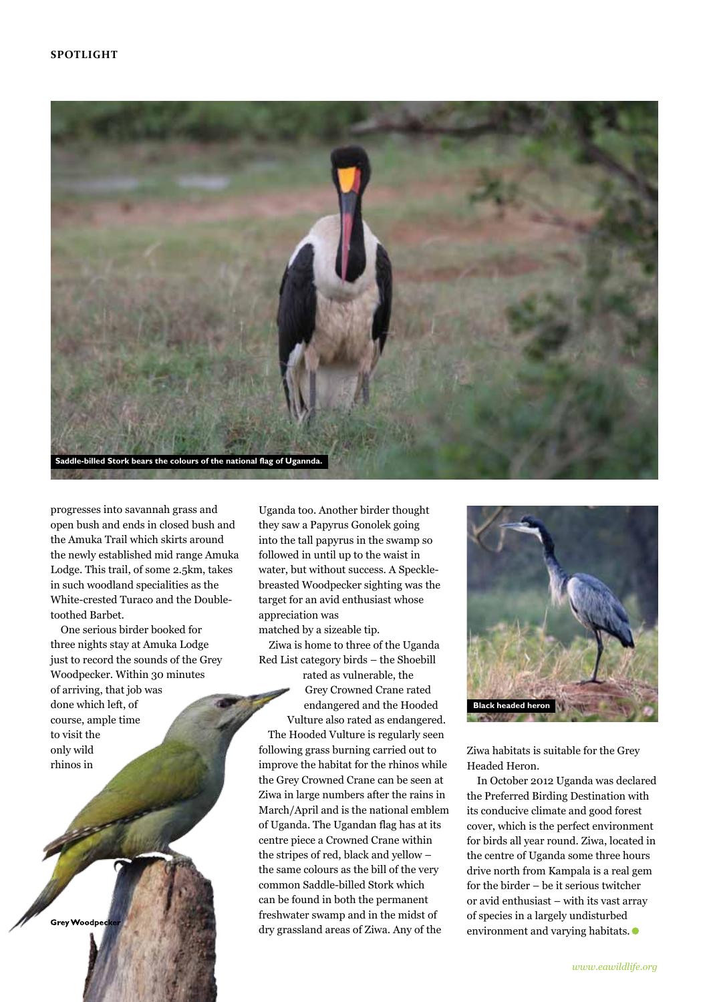

progresses into savannah grass and open bush and ends in closed bush and the Amuka Trail which skirts around the newly established mid range Amuka Lodge. This trail, of some 2.5km, takes in such woodland specialities as the White-crested Turaco and the Doubletoothed Barbet.

One serious birder booked for three nights stay at Amuka Lodge just to record the sounds of the Grey Woodpecker. Within 30 minutes of arriving, that job was done which left, of course, ample time to visit the only wild

**Grev Woodpe** 

rhinos in

Uganda too. Another birder thought they saw a Papyrus Gonolek going into the tall papyrus in the swamp so followed in until up to the waist in water, but without success. A Specklebreasted Woodpecker sighting was the target for an avid enthusiast whose appreciation was

matched by a sizeable tip. Ziwa is home to three of the Uganda

Red List category birds – the Shoebill rated as vulnerable, the Grey Crowned Crane rated endangered and the Hooded Vulture also rated as endangered. The Hooded Vulture is regularly seen following grass burning carried out to improve the habitat for the rhinos while the Grey Crowned Crane can be seen at Ziwa in large numbers after the rains in March/April and is the national emblem of Uganda. The Ugandan flag has at its centre piece a Crowned Crane within the stripes of red, black and yellow – the same colours as the bill of the very common Saddle-billed Stork which can be found in both the permanent freshwater swamp and in the midst of dry grassland areas of Ziwa. Any of the



Ziwa habitats is suitable for the Grey Headed Heron.

In October 2012 Uganda was declared the Preferred Birding Destination with its conducive climate and good forest cover, which is the perfect environment for birds all year round. Ziwa, located in the centre of Uganda some three hours drive north from Kampala is a real gem for the birder – be it serious twitcher or avid enthusiast – with its vast array of species in a largely undisturbed environment and varying habitats.